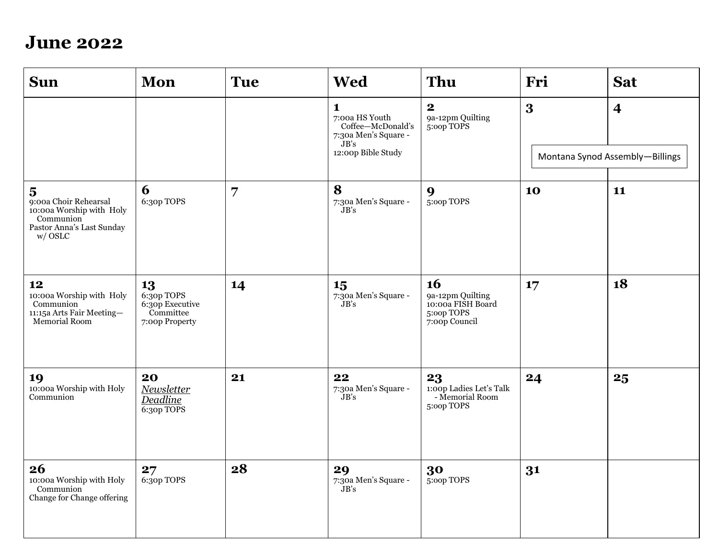## **June 2022**

| <b>Sun</b>                                                                                                                       | Mon                                                                | <b>Tue</b> | <b>Wed</b>                                                                                                | Thu                                                                               | Fri | <b>Sat</b>                                                 |
|----------------------------------------------------------------------------------------------------------------------------------|--------------------------------------------------------------------|------------|-----------------------------------------------------------------------------------------------------------|-----------------------------------------------------------------------------------|-----|------------------------------------------------------------|
|                                                                                                                                  |                                                                    |            | $\mathbf{1}$<br>7:00a HS Youth<br>Coffee-McDonald's<br>7:30a Men's Square -<br>JB's<br>12:00p Bible Study | $\mathbf{2}$<br>9a-12pm Quilting<br>$5:$ cop $TOPS$                               | 3   | $\overline{\mathbf{4}}$<br>Montana Synod Assembly-Billings |
| $\overline{\mathbf{5}}$<br>9:00a Choir Rehearsal<br>10:00a Worship with Holy<br>Communion<br>Pastor Anna's Last Sunday<br>w/OSLC | 6<br>6:30p TOPS                                                    | 7          | 8<br>7:30a Men's Square -<br>JB's                                                                         | 9<br>5:00p TOPS                                                                   | 10  | 11                                                         |
| 12<br>10:00a Worship with Holy<br>Communion<br>11:15a Arts Fair Meeting-<br>Memorial Room                                        | 13<br>6:30p TOPS<br>6:30p Executive<br>Committee<br>7:00p Property | 14         | 15<br>7:30a Men's Square -<br>JB's                                                                        | <b>16</b><br>9a-12pm Quilting<br>10:00a FISH Board<br>5:00p TOPS<br>7:00p Council | 17  | 18                                                         |
| 19<br>10:00a Worship with Holy<br>Communion                                                                                      | 20<br>Newsletter<br>Deadline<br>6:30p TOPS                         | 21         | 22<br>7:30a Men's Square -<br>JB's                                                                        | 23<br>1:00p Ladies Let's Talk<br>- Memorial Room<br>5:00p TOPS                    | 24  | 25                                                         |
| 26<br>10:00a Worship with Holy<br>Communion<br>Change for Change offering                                                        | 27<br>6:30p TOPS                                                   | 28         | 29<br>7:30a Men's Square -<br>JB's                                                                        | 30<br>5:00p TOPS                                                                  | 31  |                                                            |